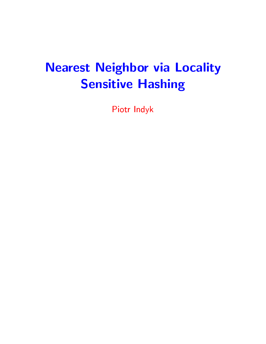# **Nearest Neighbor via Locality Sensitive Hashing**

Piotr Indyk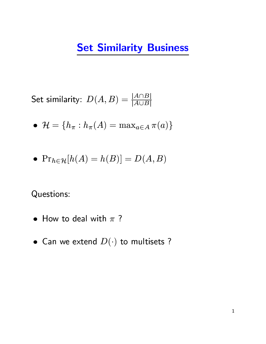### **Set Similarity Business**

Set similarity:  $D(A, B) = \frac{|A \cap B|}{|A \cup B|}$ 

• 
$$
\mathcal{H} = \{h_{\pi} : h_{\pi}(A) = \max_{a \in A} \pi(a)\}
$$

• 
$$
Pr_{h \in \mathcal{H}}[h(A) = h(B)] = D(A, B)
$$

Questions:

- How to deal with  $\pi$  ?
- Can we extend  $D(\cdot)$  to multisets ?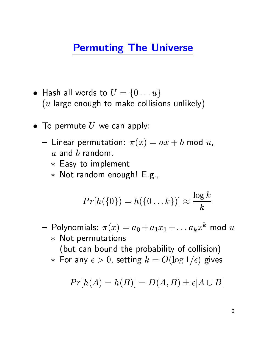### **Permuting The Universe**

- Hash all words to  $U = \{0 \dots u\}$  $(u$  large enough to make collisions unlikely)
- To permute  $U$  we can apply:
	- Linear permutation:  $\pi(x) = ax + b$  mod u,  $a$  and  $b$  random.
		- \* Easy to implement
		- \* Not random enough! E.g.,

$$
Pr[h(\{0\}) = h(\{0 \dots k\})] \approx \frac{\log k}{k}
$$

- Polynomials:  $\pi(x) = a_0 + a_1x_1 + \dots + a_kx^k$  mod u

\* Not permutations

(but can bound the probability of collision)

\* For any  $\epsilon > 0$ , setting  $k = O(\log 1/\epsilon)$  gives

$$
Pr[h(A) = h(B)] = D(A, B) \pm \epsilon |A \cup B|
$$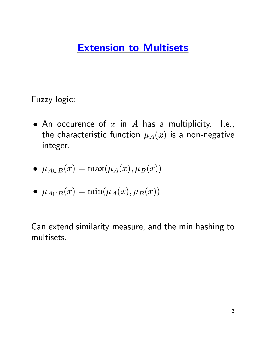### **Extension to Multisets**

Fuzzy logic:

- An occurence of  $x$  in  $A$  has a multiplicity. le. the characteristic function  $\mu_A(x)$  is a non-negative integer
- $\bullet$   $\mu_{A\cup B}(x) = \max(\mu_A(x), \mu_B(x))$
- $\bullet$   $\mu_{A \cap B}(x) = \min(\mu_A(x), \mu_B(x))$

Can extend similarity measure, and the min hashing to multisets.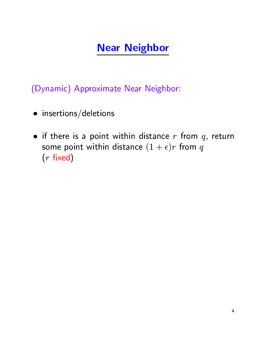## **Near Neighbor**

(Dynamic) Approximate Near Neighbor:

- · insertions/deletions
- if there is a point within distance  $r$  from  $q$ , return some point within distance  $(1 + \epsilon)r$  from q  $(r$  fixed)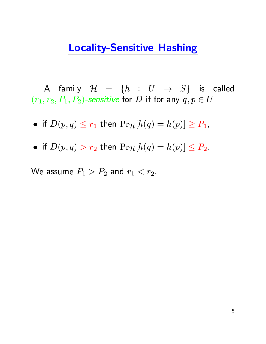### **Locality-Sensitive Hashing**

A family  $\mathcal{H} = \{h : U \rightarrow S\}$  is called  $(r_1, r_2, P_1, P_2)$ -sensitive for D if for any  $q, p \in U$ 

- if  $D(p,q) \leq r_1$  then  $Pr_{\mathcal{H}}[h(q) = h(p)] \geq P_1$ ,
- if  $D(p,q) > r_2$  then  $Pr_{\mathcal{H}}[h(q) = h(p)] \leq P_2$ .

We assume  $P_1 > P_2$  and  $r_1 < r_2$ .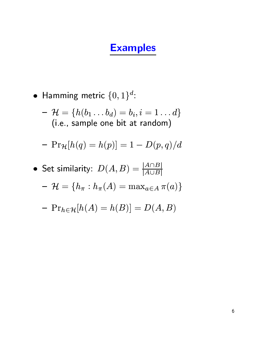### **Examples**

- Hamming metric  $\{0,1\}^d$ :
	- $\mathcal{H} = \{h(b_1 \dots b_d) = b_i, i = 1 \dots d\}$ (i.e., sample one bit at random)

$$
- \Pr_{\mathcal{H}}[h(q) = h(p)] = 1 - D(p,q)/d
$$

- Set similarity:  $D(A, B) = \frac{|A \cap B|}{|A \cup B|}$  $- \mathcal{H} = \{ h_{\pi} : h_{\pi}(A) = \max_{a \in A} \pi(a) \}$ 
	- $\Pr_{h \in \mathcal{H}}[h(A) = h(B)] = D(A, B)$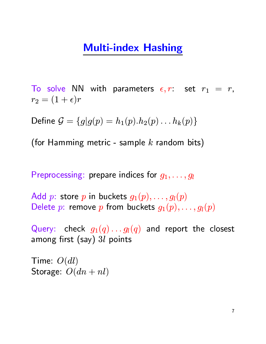### **Multi-index Hashing**

To solve NN with parameters  $\epsilon, r$  set  $r_1 = r$ ,  $r_2 = (1+\epsilon)r$ 

Define  $\mathcal{G} = \{g | g(p) = h_1(p) \cdot h_2(p) \dots h_k(p)\}\$ 

(for Hamming metric - sample  $k$  random bits)

Preprocessing: prepare indices for  $q_1, \ldots, q_l$ 

Add p: store p in buckets  $g_1(p), \ldots, g_l(p)$ Delete p: remove p from buckets  $g_1(p), \ldots, g_l(p)$ 

Query: check  $g_1(q) \ldots g_l(q)$  and report the closest among first (say)  $3l$  points

Time:  $O(dl)$ Storage:  $O(dn + nl)$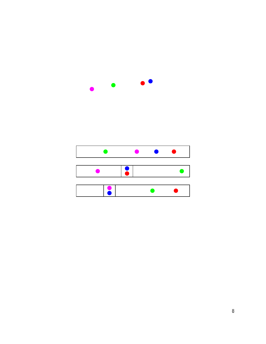

| o i         |            | $\bullet$ $\bullet$<br>$\bullet$ | $\bullet$ |
|-------------|------------|----------------------------------|-----------|
|             | $\sqrt{2}$ |                                  |           |
| $ \bullet $ |            | $\bullet$                        | $\bullet$ |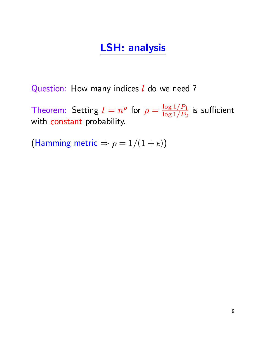### **LSH: analysis**

Question: How many indices  $l$  do we need?

Theorem: Setting  $l = n^{\rho}$  for  $\rho = \frac{\log 1/P_1}{\log 1/P_2}$  is sufficient with constant probability.

(Hamming metric  $\Rightarrow$   $\rho = 1/(1 + \epsilon)$ )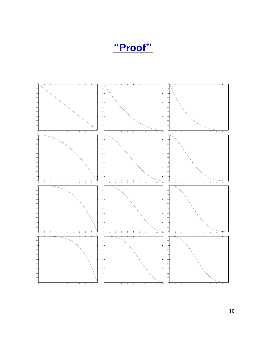

**10**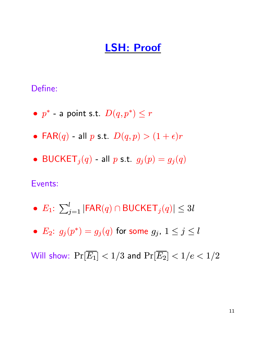### **LSH: Proof**

#### Define:

- $p^*$  a point s.t.  $D(q, p^*) \leq r$
- FAR $(q)$  all p s t  $D(q, p) > (1 + \epsilon)r$
- BUCKET<sub>j</sub> $(q)$  all p s t  $g_j(p) = g_j(q)$

Events:

- $E_1$ :  $\sum_{i=1}^l | \mathsf{FAR}(q) \cap \mathsf{BUCKET}_j(q) | \leq 3l$
- $E_2$ :  $g_j(p^*) = g_j(q)$  for some  $g_j$ ,  $1 \leq j \leq l$

Will show:  $Pr[\overline{E_1}] < 1/3$  and  $Pr[\overline{E_2}] < 1/e < 1/2$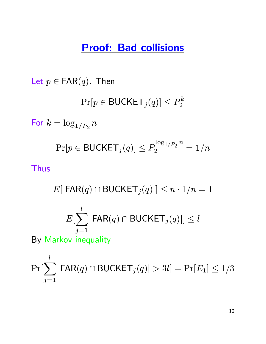### **Proof: Bad collisions**

Let  $p \in \text{FAR}(q)$ . Then

 $\Pr[p \in \mathsf{BUCKET}_i(q)] \leq P_2^k$ 

For  $k = \log_{1/P_2} n$ 

 $\Pr[p \in \mathsf{BUCKET}_j(q)] \leq P_2^{\log_1/P_2 n} = 1/n$ 

#### **Thus**

 $E[$ FAR $(q) \cap BUCKET_j(q)$  $\leq n \cdot 1/n = 1$ 

$$
E[\sum_{j=1}^{l}|\mathsf{FAR}(q)\cap\mathsf{BUCKET}_{j}(q)|]\leq l
$$

By Markov inequality

$$
\Pr[\sum_{j=1}^l | \mathsf{FAR}(q) \cap \mathsf{BUCKET}_j(q) | > 3l] = \Pr[\overline{E_1}] \leq 1/3
$$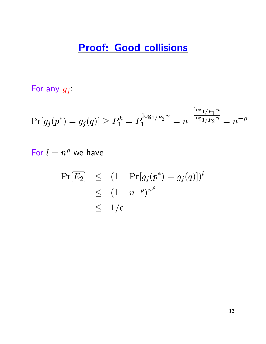### **Proof: Good collisions**

For any  $g_j$ :

 $\Pr[g_j(p^*) = g_j(q)] \geq P_1^k = P_1^{\log_{1/P_2} n} = n^{-\frac{\log_{1/P_1} n}{\log_{1/P_2} n}} = n^{-\rho}$ 

For  $l = n^{\rho}$  we have

$$
\Pr[\overline{E_2}] \le (1 - \Pr[g_j(p^*) = g_j(q)])^l
$$
  
\n
$$
\le (1 - n^{-\rho})^{n^{\rho}}
$$
  
\n
$$
\le 1/e
$$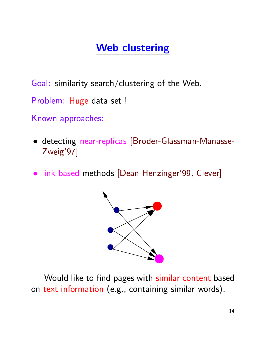## **Web clustering**

Goal: similarity search/clustering of the Web.

Problem: Huge data set !

Known approaches:

- detecting near-replicas [Broder-Glassman-Manasse-Zweig'97]
- · link-based methods [Dean-Henzinger'99, Clever]



Would like to find pages with similar content based on text information (e.g., containing similar words).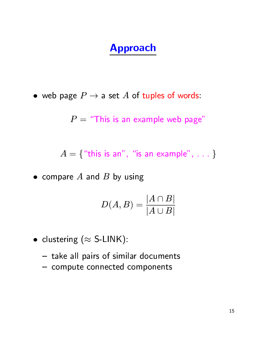### **Approach**

• web page  $P \to a$  set A of tuples of words:

 $P =$  "This is an example web page"

 $A = \{$  "this is an", "is an example", ... }

• compare  $A$  and  $B$  by using

$$
D(A,B) = \frac{|A \cap B|}{|A \cup B|}
$$

- clustering  $(\approx$  S-LINK):
	- take all pairs of similar documents
	- compute connected components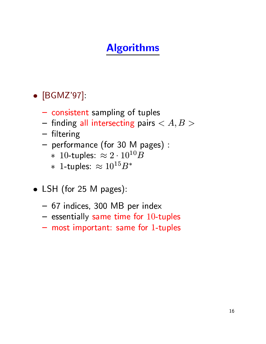## **Algorithms**

- $\bullet$  [BGMZ'97]:
	- consistent sampling of tuples
	- finding all intersecting pairs  $\langle A, B \rangle$
	- filtering
	- performance (for 30 M pages) :
		- \* 10-tuples:  $\approx 2 \cdot 10^{10} B$
		- \* 1-tuples:  $\approx 10^{15}B^*$
- LSH (for 25 M pages):
	- 67 indices, 300 MB per index
	- $-$  essentially same time for 10-tuples
	- most important: same for 1-tuples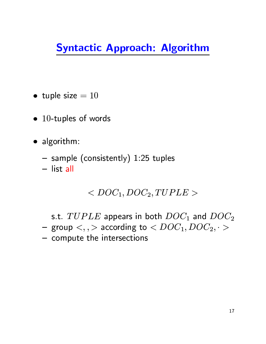## **Syntactic Approach: Algorithm**

- $\bullet$  tuple size = 10
- $\bullet$  10-tuples of words
- · algorithm:
	- sample (consistently) 1:25 tuples
	- $-$  list all

#### $<$  DOC<sub>1</sub>, DOC<sub>2</sub>, TUPLE  $>$

- s.t.  $TUPLE$  appears in both  $DOC_{1}$  and  $DOC_{2}$
- group  $\langle , \rangle$  according to  $\langle DOC_1, DOC_2, \cdot \rangle$
- $-$  compute the intersections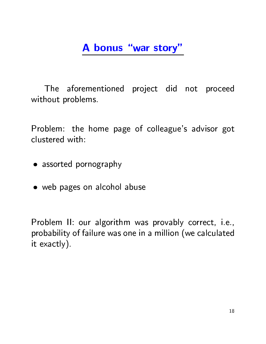## A bonus "war story"

The aforementioned project did not proceed without problems.

Problem: the home page of colleague's advisor got clustered with:

- assorted pornography
- web pages on alcohol abuse

Problem II: our algorithm was provably correct, i.e., probability of failure was one in a million (we calculated it exactly).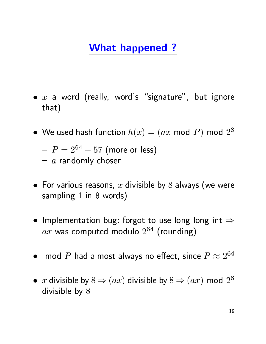### **What happened?**

- $x$  a word (really, word's "signature", but ignore that)
- We used hash function  $h(x) = (ax \mod P)$  mod  $2^8$ 
	- $-P = 2^{64} 57$  (more or less)
	- $a$  randomly chosen
- For various reasons,  $x$  divisible by 8 always (we were sampling 1 in 8 words)
- Implementation bug: forgot to use long long int  $\Rightarrow$  $\overline{ax}$  was computed modulo  $2^{64}$  (rounding)
- mod P had almost always no effect, since  $P \approx 2^{64}$
- x divisible by  $8 \Rightarrow (ax)$  divisible by  $8 \Rightarrow (ax)$  mod  $2^8$ divisible by 8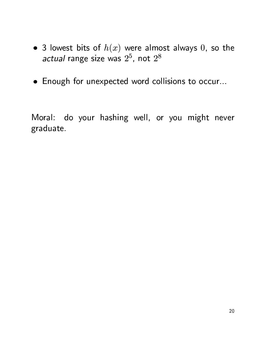- 3 lowest bits of  $h(x)$  were almost always 0, so the actual range size was  $2^5$ , not  $2^8$
- · Enough for unexpected word collisions to occur...

Moral: do your hashing well, or you might never graduate.